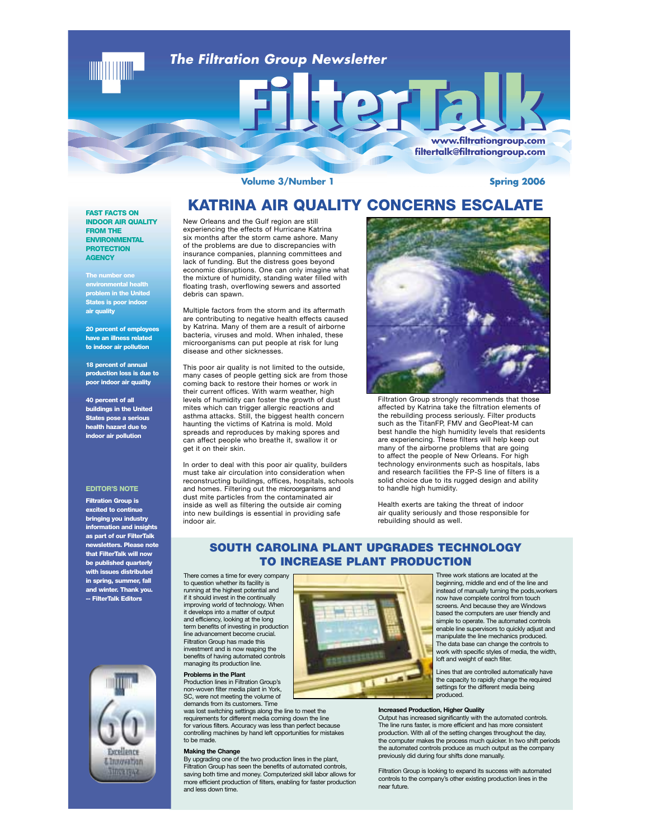

**Volume 3/Number 1** 

**Spring 2006** 

# **KATRINA AIR QUALITY CONCERNS ESCALATE**

**FAST FACTS ON INDOOR AIR QUALITY FROM THE ENVIRONMENTAL PROTECTION AGENCY**

**The number one environmental health problem in the United States is poor indoor air quality**

**20 percent of employees have an illness related to indoor air pollution**

**18 percent of annual production loss is due to poor indoor air quality**

**40 percent of all buildings in the United States pose a serious health hazard due to indoor air pollution**

### **EDITOR'S NOTE**

**Filtration Group is excited to continue bringing you industry information and insights as part of our FilterTalk newsletters. Please note that FilterTalk will now be published quarterly with issues distributed in spring, summer, fall and winter. Thank you. -- FilterTalk Editors** 



New Orleans and the Gulf region are still experiencing the effects of Hurricane Katrina six months after the storm came ashore. Many of the problems are due to discrepancies with insurance companies, planning committees and lack of funding. But the distress goes beyond economic disruptions. One can only imagine what the mixture of humidity, standing water filled with floating trash, overflowing sewers and assorted debris can spawn.

Multiple factors from the storm and its aftermath are contributing to negative health effects caused by Katrina. Many of them are a result of airborne bacteria, viruses and mold. When inhaled, these microorganisms can put people at risk for lung disease and other sicknesses.

This poor air quality is not limited to the outside, many cases of people getting sick are from those coming back to restore their homes or work in their current offices. With warm weather, high levels of humidity can foster the growth of dust mites which can trigger allergic reactions and asthma attacks. Still, the biggest health concern haunting the victims of Katrina is mold. Mold spreads and reproduces by making spores and can affect people who breathe it, swallow it or get it on their skin.

In order to deal with this poor air quality, builders must take air circulation into consideration when reconstructing buildings, offices, hospitals, schools and homes. Filtering out the microorganisms and dust mite particles from the contaminated air inside as well as filtering the outside air coming into new buildings is essential in providing safe indoor air.



Filtration Group strongly recommends that those affected by Katrina take the filtration elements of the rebuilding process seriously. Filter products such as the TitanFP, FMV and GeoPleat-M can best handle the high humidity levels that residents are experiencing. These filters will help keep out many of the airborne problems that are going to affect the people of New Orleans. For high technology environments such as hospitals, labs and research facilities the FP-S line of filters is a solid choice due to its rugged design and ability to handle high humidity.

Health exerts are taking the threat of indoor air quality seriously and those responsible for rebuilding should as well.

## **SOUTH CAROLINA PLANT UPGRADES TECHNOLOGY TO INCREASE PLANT PRODUCTION**

There comes a time for every company to question whether its facility is running at the highest potential and if it should invest in the continually improving world of technology. When it develops into a matter of output and efficiency, looking at the long term benefits of investing in production line advancement become crucial. Filtration Group has made this investment and is now reaping the benefits of having automated controls managing its production line.

**Problems in the Plant** Production lines in Filtration Group's non-woven filter media plant in York,

SC, were not meeting the volume of demands from its customers. Time was lost switching settings along the line to meet the

requirements for different media coming down the line for various filters. Accuracy was less than perfect because controlling machines by hand left opportunities for mistakes to be made

**Making the Change** By upgrading one of the two production lines in the plant, Filtration Group has seen the benefits of automated controls, saving both time and money. Computerized skill labor allows for more efficient production of filters, enabling for faster production and less down time.



Three work stations are located at the beginning, middle and end of the line and instead of manually turning the pods,workers now have complete control from touch screens. And because they are Windows based the computers are user friendly and simple to operate. The automated controls enable line supervisors to quickly adjust and manipulate the line mechanics produced. The data base can change the controls to work with specific styles of media, the width, loft and weight of each filter.

Lines that are controlled automatically have the capacity to rapidly change the required settings for the different media being produced.

### **Increased Production, Higher Quality**

Output has increased significantly with the automated controls. The line runs faster, is more efficient and has more consistent production. With all of the setting changes throughout the day, the computer makes the process much quicker. In two shift periods the automated controls produce as much output as the company previously did during four shifts done manually.

Filtration Group is looking to expand its success with automated controls to the company's other existing production lines in the near future.